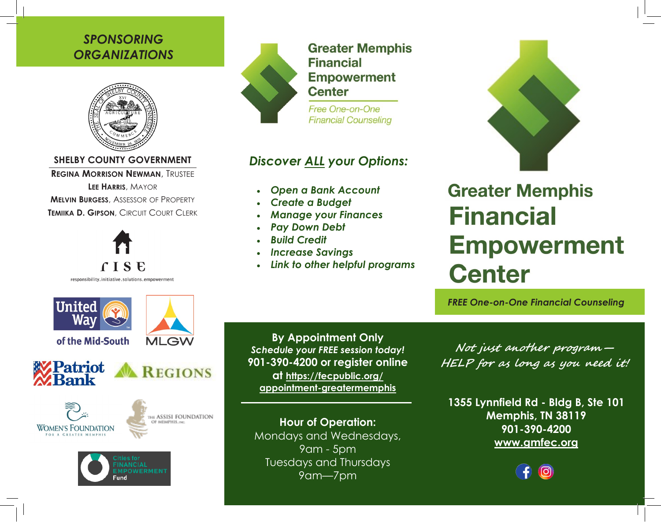### *SPONSORING ORGANIZATIONS*



**SHELBY COUNTY GOVERNMENT**

**REGINA MORRISON NEWMAN**, TRUSTEE

**LEE HARRIS**, MAYOR **MELVIN BURGESS**, ASSESSOR OF PROPERTY **TEMIIKA D. GIPSON**, CIRCUIT COURT CLERK



responsibility.initiative.solutions.empowerment



### **Greater Memphis Financial Empowerment Center**

Free One-on-One **Financial Counseling** 

## *Discover ALL your Options:*

- *Open a Bank Account*
- *Create a Budget*
- *Manage your Finances*
- *Pay Down Debt*
- *Build Credit*
- *Increase Savings*
- *Link to other helpful programs*



# **Greater Memphis Financial Empowerment Center**

*FREE One-on-One Financial Counseling*



of the Mid-South

**MLGW** 











**By Appointment Only** *Schedule your FREE session today!* **901-390-4200 or register online at https://fecpublic.org/ appointment-greatermemphis**

**Hour of Operation:** Mondays and Wednesdays, 9am - 5pm Tuesdays and Thursdays 9am—7pm

**Not just another program— HELP for as long as you need it!**

**1355 Lynnfield Rd - Bldg B, Ste 101 Memphis, TN 38119 901-390-4200 www.gmfec.org**